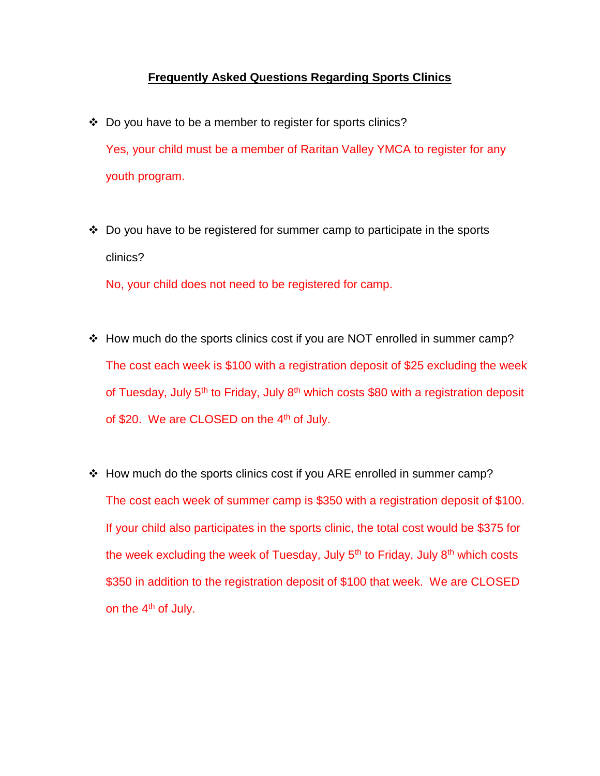## **Frequently Asked Questions Regarding Sports Clinics**

- ❖ Do you have to be a member to register for sports clinics? Yes, your child must be a member of Raritan Valley YMCA to register for any youth program.
- $\cdot$  Do you have to be registered for summer camp to participate in the sports clinics?

No, your child does not need to be registered for camp.

- \* How much do the sports clinics cost if you are NOT enrolled in summer camp? The cost each week is \$100 with a registration deposit of \$25 excluding the week of Tuesday, July 5<sup>th</sup> to Friday, July 8<sup>th</sup> which costs \$80 with a registration deposit of \$20. We are CLOSED on the 4<sup>th</sup> of July.
- \* How much do the sports clinics cost if you ARE enrolled in summer camp? The cost each week of summer camp is \$350 with a registration deposit of \$100. If your child also participates in the sports clinic, the total cost would be \$375 for the week excluding the week of Tuesday, July  $5<sup>th</sup>$  to Friday, July  $8<sup>th</sup>$  which costs \$350 in addition to the registration deposit of \$100 that week. We are CLOSED on the 4<sup>th</sup> of July.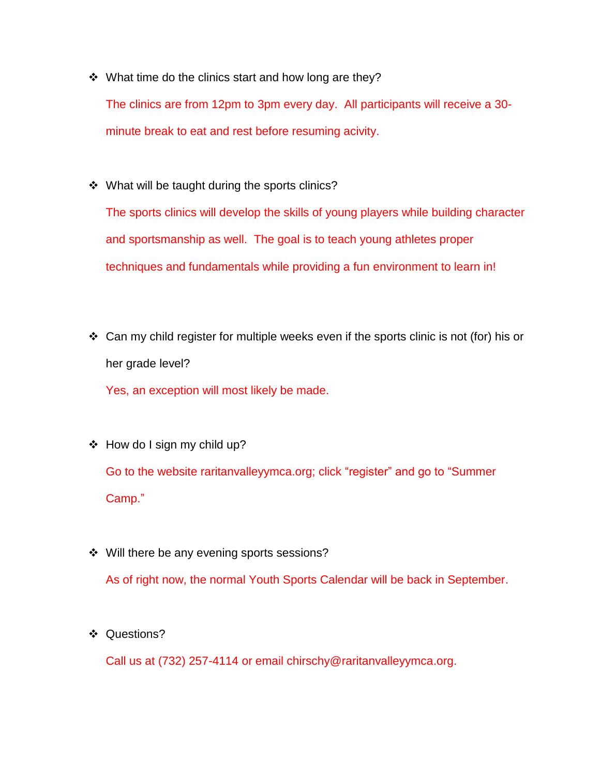$\div$  What time do the clinics start and how long are they?

The clinics are from 12pm to 3pm every day. All participants will receive a 30 minute break to eat and rest before resuming acivity.

❖ What will be taught during the sports clinics?

The sports clinics will develop the skills of young players while building character and sportsmanship as well. The goal is to teach young athletes proper techniques and fundamentals while providing a fun environment to learn in!

 $\div$  Can my child register for multiple weeks even if the sports clinic is not (for) his or her grade level?

Yes, an exception will most likely be made.

- $\div$  How do I sign my child up? Go to the website raritanvalleyymca.org; click "register" and go to "Summer Camp."
- ❖ Will there be any evening sports sessions?

As of right now, the normal Youth Sports Calendar will be back in September.

❖ Questions?

Call us at (732) 257-4114 or email chirschy@raritanvalleyymca.org.